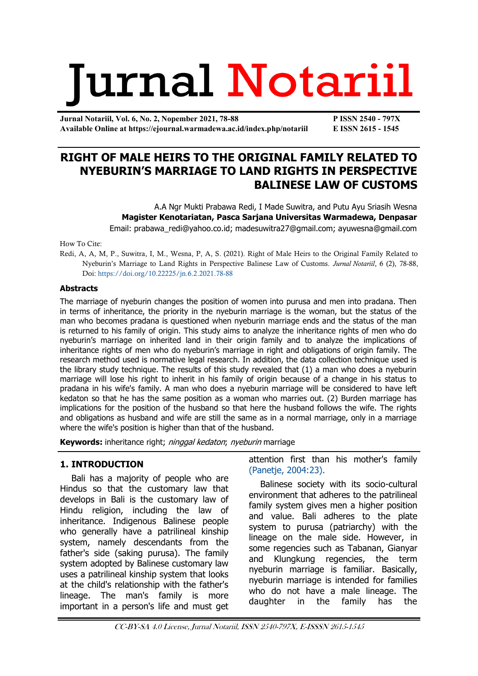# Jurnal Notariil

**Jurnal Notariil, Vol. 6, No. 2, Nopember 2021, 78-88 P ISSN 2540 - 797X Available Online at https://ejournal.warmadewa.ac.id/index.php/notariil E ISSN 2615 - 1545**

## **RIGHT OF MALE HEIRS TO THE ORIGINAL FAMILY RELATED TO NYEBURIN'S MARRIAGE TO LAND RIGHTS IN PERSPECTIVE BALINESE LAW OF CUSTOMS**

A.A Ngr Mukti Prabawa Redi, I Made Suwitra, and Putu Ayu Sriasih Wesna **Magister Kenotariatan, Pasca Sarjana Universitas Warmadewa, Denpasar** Email: [prabawa\\_redi@yahoo.co.id;](mailto:prabawa_redi@yahoo.co.id) [madesuwitra27@gmail.com; ayuwesna@gmail.com](mailto:madesuwitra27@gmail.com;%20ayuwesna@gmail.com)

How To Cite:

Redi, A, A, M, P., Suwitra, I, M., Wesna, P, A, S. (2021). Right of Male Heirs to the Original Family Related to Nyeburin's Marriage to Land Rights in Perspective Balinese Law of Customs. *Jurnal Notariil*, 6 (2), 78-88, Doi: [https://doi.org/10.22225/jn.6.2.2021.78-88](https://ejournal.warmadewa.id/index.php/notariil/article/view/4009)

#### **Abstracts**

The marriage of nyeburin changes the position of women into purusa and men into pradana. Then in terms of inheritance, the priority in the nyeburin marriage is the woman, but the status of the man who becomes pradana is questioned when nyeburin marriage ends and the status of the man is returned to his family of origin. This study aims to analyze the inheritance rights of men who do nyeburin's marriage on inherited land in their origin family and to analyze the implications of inheritance rights of men who do nyeburin's marriage in right and obligations of origin family. The research method used is normative legal research. In addition, the data collection technique used is the library study technique. The results of this study revealed that (1) a man who does a nyeburin marriage will lose his right to inherit in his family of origin because of a change in his status to pradana in his wife's family. A man who does a nyeburin marriage will be considered to have left kedaton so that he has the same position as a woman who marries out. (2) Burden marriage has implications for the position of the husband so that here the husband follows the wife. The rights and obligations as husband and wife are still the same as in a normal marriage, only in a marriage where the wife's position is higher than that of the husband.

**Keywords:** inheritance right; ninggal kedaton; nyeburin marriage

#### **1. INTRODUCTION**

Bali has a majority of people who are Hindus so that the customary law that develops in Bali is the customary law of Hindu religion, including the law of inheritance. Indigenous Balinese people who generally have a patrilineal kinship system, namely descendants from the father's side (saking purusa). The family system adopted by Balinese customary law uses a patrilineal kinship system that looks at the child's relationship with the father's lineage. The man's family is more important in a person's life and must get

attention first than his mother's family [\(Panetje, 2004:23\).](#page-9-0)

Balinese society with its socio-cultural environment that adheres to the patrilineal family system gives men a higher position and value. Bali adheres to the plate system to purusa (patriarchy) with the lineage on the male side. However, in some regencies such as Tabanan, Gianyar and Klungkung regencies, the term nyeburin marriage is familiar. Basically, nyeburin marriage is intended for families who do not have a male lineage. The daughter in the family has the

CC-BY-SA 4.0 License, Jurnal Notariil, ISSN 2540-797X, E-ISSSN 2615-1545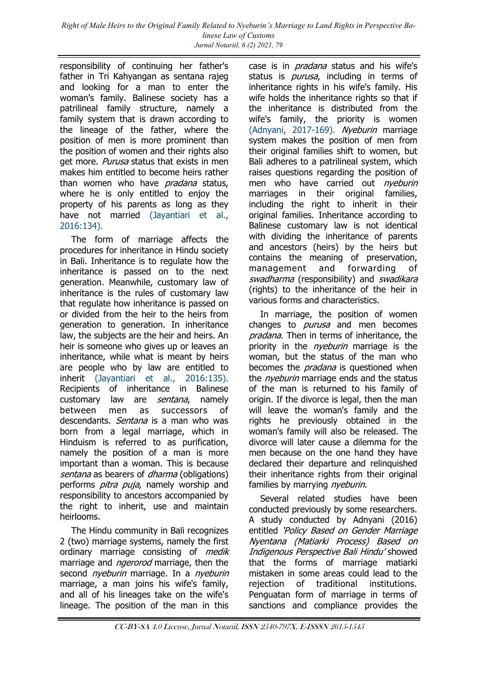responsibility of continuing her father's father in Tri Kahyangan as sentana rajeg and looking for a man to enter the woman's family. Balinese society has a patrilineal family structure, namely a family system that is drawn according to the lineage of the father, where the position of men is more prominent than the position of women and their rights also get more. Purusa status that exists in men makes him entitled to become heirs rather than women who have *pradana* status, where he is only entitled to enjoy the property of his parents as long as they have not married [\(Jayantiari et al.,](#page-9-0)  [2016:134\).](#page-9-0)

The form of marriage affects the procedures for inheritance in Hindu society in Bali. Inheritance is to regulate how the inheritance is passed on to the next generation. Meanwhile, customary law of inheritance is the rules of customary law that regulate how inheritance is passed on or divided from the heir to the heirs from generation to generation. In inheritance law, the subjects are the heir and heirs. An heir is someone who gives up or leaves an inheritance, while what is meant by heirs are people who by law are entitled to inherit [\(Jayantiari et al., 2016:135\).](#page-9-0) Recipients of inheritance in Balinese customary law are *sentana*, namely between men as successors of descendants. Sentana is a man who was born from a legal marriage, which in Hinduism is referred to as purification, namely the position of a man is more important than a woman. This is because sentana as bearers of *dharma* (obligations) performs *pitra puja*, namely worship and responsibility to ancestors accompanied by the right to inherit, use and maintain heirlooms.

The Hindu community in Bali recognizes 2 (two) marriage systems, namely the first ordinary marriage consisting of *medik* marriage and *ngerorod* marriage, then the second *nyeburin* marriage. In a *nyeburin* marriage, a man joins his wife's family, and all of his lineages take on the wife's lineage. The position of the man in this

case is in *pradana* status and his wife's status is *purusa*, including in terms of inheritance rights in his wife's family. His wife holds the inheritance rights so that if the inheritance is distributed from the wife's family, the priority is women [\(Adnyani, 2017-169\).](#page-9-0) Nyeburin marriage system makes the position of men from their original families shift to women, but Bali adheres to a patrilineal system, which raises questions regarding the position of men who have carried out nyeburin marriages in their original families, including the right to inherit in their original families. Inheritance according to Balinese customary law is not identical with dividing the inheritance of parents and ancestors (heirs) by the heirs but contains the meaning of preservation, management and forwarding of swadharma (responsibility) and *swadikara* (rights) to the inheritance of the heir in various forms and characteristics.

In marriage, the position of women changes to *purusa* and men becomes pradana. Then in terms of inheritance, the priority in the *nyeburin* marriage is the woman, but the status of the man who becomes the *pradana* is questioned when the *nveburin* marriage ends and the status of the man is returned to his family of origin. If the divorce is legal, then the man will leave the woman's family and the rights he previously obtained in the woman's family will also be released. The divorce will later cause a dilemma for the men because on the one hand they have declared their departure and relinquished their inheritance rights from their original families by marrying nyeburin.

Several related studies have been conducted previously by some researchers. A study conducted by Adnyani (2016) entitled 'Policy Based on Gender Marriage Nyentana (Matiarki Process) Based on Indigenous Perspective Bali Hindu' showed that the forms of marriage matiarki mistaken in some areas could lead to the rejection of traditional institutions. Penguatan form of marriage in terms of sanctions and compliance provides the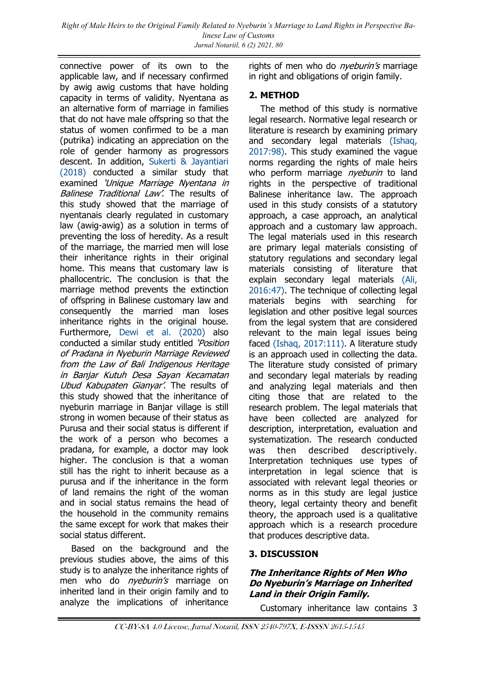connective power of its own to the applicable law, and if necessary confirmed by awig awig customs that have holding capacity in terms of validity. Nyentana as an alternative form of marriage in families that do not have male offspring so that the status of women confirmed to be a man (putrika) indicating an appreciation on the role of gender harmony as progressors descent. In addition, [Sukerti & Jayantiari](#page-9-0)  [\(2018\)](#page-9-0) conducted a similar study that examined 'Unique Marriage Nyentana in Balinese Traditional Law'. The results of this study showed that the marriage of nyentanais clearly regulated in customary law (awig-awig) as a solution in terms of preventing the loss of heredity. As a result of the marriage, the married men will lose their inheritance rights in their original home. This means that customary law is phallocentric. The conclusion is that the marriage method prevents the extinction of offspring in Balinese customary law and consequently the married man loses inheritance rights in the original house. Furthermore, [Dewi et al. \(2020\)](#page-9-0) also conducted a similar study entitled 'Position of Pradana in Nyeburin Marriage Reviewed from the Law of Bali Indigenous Heritage in Banjar Kutuh Desa Sayan Kecamatan Ubud Kabupaten Gianyar'. The results of this study showed that the inheritance of nyeburin marriage in Banjar village is still strong in women because of their status as Purusa and their social status is different if the work of a person who becomes a pradana, for example, a doctor may look higher. The conclusion is that a woman still has the right to inherit because as a purusa and if the inheritance in the form of land remains the right of the woman and in social status remains the head of the household in the community remains the same except for work that makes their social status different.

Based on the background and the previous studies above, the aims of this study is to analyze the inheritance rights of men who do *nyeburin's* marriage on inherited land in their origin family and to analyze the implications of inheritance

rights of men who do *nyeburin's* marriage in right and obligations of origin family.

#### **2. METHOD**

The method of this study is normative legal research. Normative legal research or literature is research by examining primary and secondary legal materials [\(Ishaq,](#page-9-0)  [2017:98\).](#page-9-0) This study examined the vague norms regarding the rights of male heirs who perform marriage *nveburin* to land rights in the perspective of traditional Balinese inheritance law. The approach used in this study consists of a statutory approach, a case approach, an analytical approach and a customary law approach. The legal materials used in this research are primary legal materials consisting of statutory regulations and secondary legal materials consisting of literature that explain secondary legal materials [\(Ali,](#page-9-0)  [2016:47\).](#page-9-0) The technique of collecting legal materials begins with searching for legislation and other positive legal sources from the legal system that are considered relevant to the main legal issues being faced [\(Ishaq, 2017:111\).](#page-9-0) A literature study is an approach used in collecting the data. The literature study consisted of primary and secondary legal materials by reading and analyzing legal materials and then citing those that are related to the research problem. The legal materials that have been collected are analyzed for description, interpretation, evaluation and systematization. The research conducted was then described descriptively. Interpretation techniques use types of interpretation in legal science that is associated with relevant legal theories or norms as in this study are legal justice theory, legal certainty theory and benefit theory, the approach used is a qualitative approach which is a research procedure that produces descriptive data.

#### **3. DISCUSSION**

#### **The Inheritance Rights of Men Who Do Nyeburin's Marriage on Inherited Land in their Origin Family.**

Customary inheritance law contains 3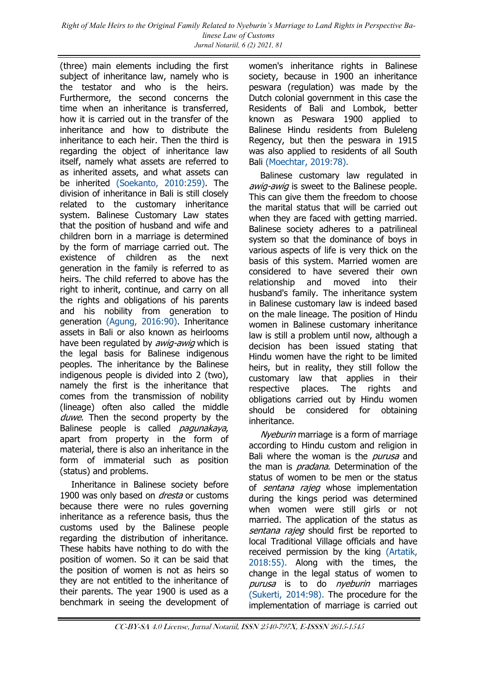(three) main elements including the first subject of inheritance law, namely who is the testator and who is the heirs. Furthermore, the second concerns the time when an inheritance is transferred, how it is carried out in the transfer of the inheritance and how to distribute the inheritance to each heir. Then the third is regarding the object of inheritance law itself, namely what assets are referred to as inherited assets, and what assets can be inherited [\(Soekanto, 2010:259\).](#page-9-0) The division of inheritance in Bali is still closely related to the customary inheritance system. Balinese Customary Law states that the position of husband and wife and children born in a marriage is determined by the form of marriage carried out. The existence of children as the next generation in the family is referred to as heirs. The child referred to above has the right to inherit, continue, and carry on all the rights and obligations of his parents and his nobility from generation to generation [\(Agung, 2016:90\).](#page-9-0) Inheritance assets in Bali or also known as heirlooms have been regulated by *awig-awig* which is the legal basis for Balinese indigenous peoples. The inheritance by the Balinese indigenous people is divided into 2 (two), namely the first is the inheritance that comes from the transmission of nobility (lineage) often also called the middle duwe. Then the second property by the Balinese people is called *pagunakaya*, apart from property in the form of material, there is also an inheritance in the form of immaterial such as position (status) and problems.

Inheritance in Balinese society before 1900 was only based on *dresta* or customs because there were no rules governing inheritance as a reference basis, thus the customs used by the Balinese people regarding the distribution of inheritance. These habits have nothing to do with the position of women. So it can be said that the position of women is not as heirs so they are not entitled to the inheritance of their parents. The year 1900 is used as a benchmark in seeing the development of women's inheritance rights in Balinese society, because in 1900 an inheritance peswara (regulation) was made by the Dutch colonial government in this case the Residents of Bali and Lombok, better known as Peswara 1900 applied to Balinese Hindu residents from Buleleng Regency, but then the peswara in 1915 was also applied to residents of all South Bali [\(Moechtar, 2019:78\).](#page-10-0)

Balinese customary law regulated in awig-awig is sweet to the Balinese people. This can give them the freedom to choose the marital status that will be carried out when they are faced with getting married. Balinese society adheres to a patrilineal system so that the dominance of boys in various aspects of life is very thick on the basis of this system. Married women are considered to have severed their own relationship and moved into their husband's family. The inheritance system in Balinese customary law is indeed based on the male lineage. The position of Hindu women in Balinese customary inheritance law is still a problem until now, although a decision has been issued stating that Hindu women have the right to be limited heirs, but in reality, they still follow the customary law that applies in their respective places. The rights and obligations carried out by Hindu women should be considered for obtaining inheritance.

Nveburin marriage is a form of marriage according to Hindu custom and religion in Bali where the woman is the *purusa* and the man is *pradana*. Determination of the status of women to be men or the status of *sentana rajeg* whose implementation during the kings period was determined when women were still girls or not married. The application of the status as sentana rajeg should first be reported to local Traditional Village officials and have received permission by the king [\(Artatik,](#page-9-0)  [2018:55\).](#page-9-0) Along with the times, the change in the legal status of women to purusa is to do nyeburin marriages [\(Sukerti, 2014:98\).](#page-9-0) The procedure for the implementation of marriage is carried out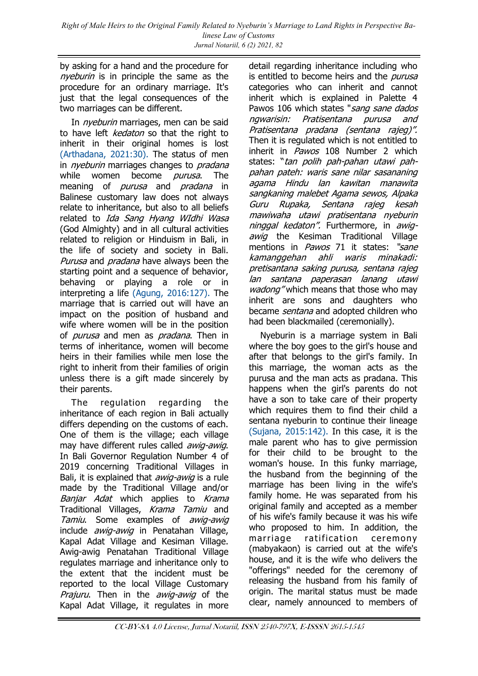by asking for a hand and the procedure for nyeburin is in principle the same as the procedure for an ordinary marriage. It's just that the legal consequences of the two marriages can be different.

In *nyeburin* marriages, men can be said to have left *kedaton* so that the right to inherit in their original homes is lost [\(Arthadana, 2021:30\).](#page-9-0) The status of men in *nyeburin* marriages changes to *pradana* while women become *purusa*. The meaning of *purusa* and *pradana* in Balinese customary law does not always relate to inheritance, but also to all beliefs related to Ida Sang Hyang WIdhi Wasa (God Almighty) and in all cultural activities related to religion or Hinduism in Bali, in the life of society and society in Bali. Purusa and *pradana* have always been the starting point and a sequence of behavior, behaving or playing a role or in interpreting a life [\(Agung, 2016:127\).](#page-9-0) The marriage that is carried out will have an impact on the position of husband and wife where women will be in the position of *purusa* and men as *pradana*. Then in terms of inheritance, women will become heirs in their families while men lose the right to inherit from their families of origin unless there is a gift made sincerely by their parents.

The regulation regarding the inheritance of each region in Bali actually differs depending on the customs of each. One of them is the village; each village may have different rules called *awig-awig*. In Bali Governor Regulation Number 4 of 2019 concerning Traditional Villages in Bali, it is explained that *awig-awig* is a rule made by the Traditional Village and/or Banjar Adat which applies to Krama Traditional Villages, Krama Tamiu and Tamiu. Some examples of awig-awig include *awig-awig* in Penatahan Village, Kapal Adat Village and Kesiman Village. Awig-awig Penatahan Traditional Village regulates marriage and inheritance only to the extent that the incident must be reported to the local Village Customary Prajuru. Then in the awig-awig of the Kapal Adat Village, it regulates in more

detail regarding inheritance including who is entitled to become heirs and the *purusa* categories who can inherit and cannot inherit which is explained in Palette 4 Pawos 106 which states "sang sane dados" ngwarisin: Pratisentana purusa and Pratisentana pradana (sentana rajeg)". Then it is regulated which is not entitled to inherit in *Pawos* 108 Number 2 which states: "tan polih pah-pahan utawi pahpahan pateh: waris sane nilar sasananing agama Hindu lan kawitan manawita sangkaning malebet Agama sewos, Alpaka Guru Rupaka, Sentana rajeg kesah mawiwaha utawi pratisentana nyeburin ninggal kedaton". Furthermore, in awigawig the Kesiman Traditional Village mentions in *Pawos* 71 it states: "sane kamanggehan ahli waris minakadi: pretisantana saking purusa, sentana rajeg lan santana paperasan lanang utawi wadong" which means that those who may inherit are sons and daughters who became *sentana* and adopted children who had been blackmailed (ceremonially).

Nyeburin is a marriage system in Bali where the boy goes to the girl's house and after that belongs to the girl's family. In this marriage, the woman acts as the purusa and the man acts as pradana. This happens when the girl's parents do not have a son to take care of their property which requires them to find their child a sentana nyeburin to continue their lineage [\(Sujana, 2015:142\).](#page-9-0) In this case, it is the male parent who has to give permission for their child to be brought to the woman's house. In this funky marriage, the husband from the beginning of the marriage has been living in the wife's family home. He was separated from his original family and accepted as a member of his wife's family because it was his wife who proposed to him. In addition, the marriage ratification ceremony (mabyakaon) is carried out at the wife's house, and it is the wife who delivers the "offerings" needed for the ceremony of releasing the husband from his family of origin. The marital status must be made clear, namely announced to members of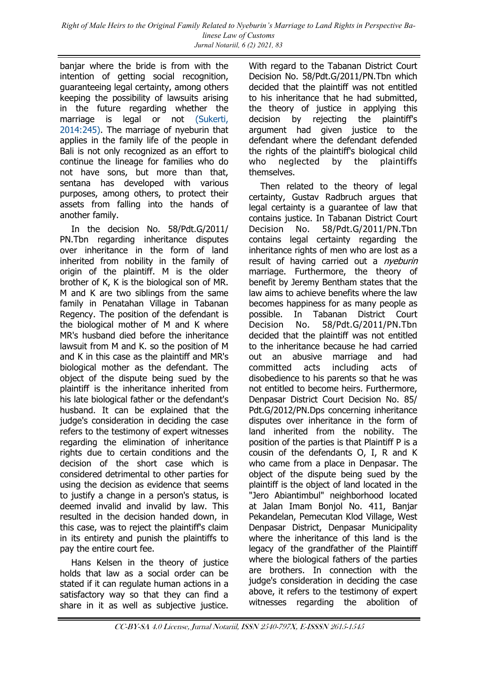*Right of Male Heirs to the Original Family Related to Nyeburin's Marriage to Land Rights in Perspective Balinese Law of Customs Jurnal Notariil, 6 (2) 2021, 83*

banjar where the bride is from with the intention of getting social recognition, guaranteeing legal certainty, among others keeping the possibility of lawsuits arising in the future regarding whether the marriage is legal or not [\(Sukerti,](#page-9-0)  [2014:245\).](#page-9-0) The marriage of nyeburin that applies in the family life of the people in Bali is not only recognized as an effort to continue the lineage for families who do not have sons, but more than that, sentana has developed with various purposes, among others, to protect their assets from falling into the hands of another family.

In the decision No. 58/Pdt.G/2011/ PN.Tbn regarding inheritance disputes over inheritance in the form of land inherited from nobility in the family of origin of the plaintiff. M is the older brother of K, K is the biological son of MR. M and K are two siblings from the same family in Penatahan Village in Tabanan Regency. The position of the defendant is the biological mother of M and K where MR's husband died before the inheritance lawsuit from M and K. so the position of M and K in this case as the plaintiff and MR's biological mother as the defendant. The object of the dispute being sued by the plaintiff is the inheritance inherited from his late biological father or the defendant's husband. It can be explained that the judge's consideration in deciding the case refers to the testimony of expert witnesses regarding the elimination of inheritance rights due to certain conditions and the decision of the short case which is considered detrimental to other parties for using the decision as evidence that seems to justify a change in a person's status, is deemed invalid and invalid by law. This resulted in the decision handed down, in this case, was to reject the plaintiff's claim in its entirety and punish the plaintiffs to pay the entire court fee.

Hans Kelsen in the theory of justice holds that law as a social order can be stated if it can regulate human actions in a satisfactory way so that they can find a share in it as well as subjective justice.

With regard to the Tabanan District Court Decision No. 58/Pdt.G/2011/PN.Tbn which decided that the plaintiff was not entitled to his inheritance that he had submitted, the theory of justice in applying this decision by rejecting the plaintiff's argument had given justice to the defendant where the defendant defended the rights of the plaintiff's biological child who neglected by the plaintiffs themselves.

Then related to the theory of legal certainty, Gustav Radbruch argues that legal certainty is a guarantee of law that contains justice. In Tabanan District Court Decision No. 58/Pdt.G/2011/PN.Tbn contains legal certainty regarding the inheritance rights of men who are lost as a result of having carried out a *nyeburin* marriage. Furthermore, the theory of benefit by Jeremy Bentham states that the law aims to achieve benefits where the law becomes happiness for as many people as possible. In Tabanan District Court Decision No. 58/Pdt.G/2011/PN.Tbn decided that the plaintiff was not entitled to the inheritance because he had carried out an abusive marriage and had committed acts including acts of disobedience to his parents so that he was not entitled to become heirs. Furthermore, Denpasar District Court Decision No. 85/ Pdt.G/2012/PN.Dps concerning inheritance disputes over inheritance in the form of land inherited from the nobility. The position of the parties is that Plaintiff P is a cousin of the defendants O, I, R and K who came from a place in Denpasar. The object of the dispute being sued by the plaintiff is the object of land located in the "Jero Abiantimbul" neighborhood located at Jalan Imam Bonjol No. 411, Banjar Pekandelan, Pemecutan Klod Village, West Denpasar District, Denpasar Municipality where the inheritance of this land is the legacy of the grandfather of the Plaintiff where the biological fathers of the parties are brothers. In connection with the judge's consideration in deciding the case above, it refers to the testimony of expert witnesses regarding the abolition of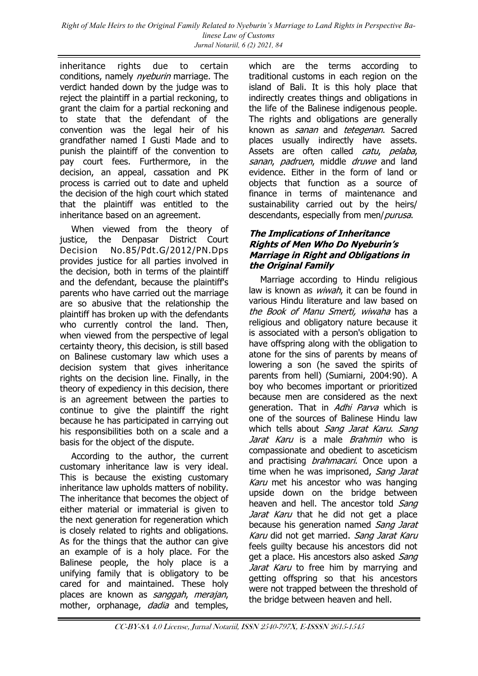*Right of Male Heirs to the Original Family Related to Nyeburin's Marriage to Land Rights in Perspective Balinese Law of Customs Jurnal Notariil, 6 (2) 2021, 84*

inheritance rights due to certain conditions, namely *nyeburin* marriage. The verdict handed down by the judge was to reject the plaintiff in a partial reckoning, to grant the claim for a partial reckoning and to state that the defendant of the convention was the legal heir of his grandfather named I Gusti Made and to punish the plaintiff of the convention to pay court fees. Furthermore, in the decision, an appeal, cassation and PK process is carried out to date and upheld the decision of the high court which stated that the plaintiff was entitled to the inheritance based on an agreement.

When viewed from the theory of justice, the Denpasar District Court Decision No.85/Pdt.G/2012/PN.Dps provides justice for all parties involved in the decision, both in terms of the plaintiff and the defendant, because the plaintiff's parents who have carried out the marriage are so abusive that the relationship the plaintiff has broken up with the defendants who currently control the land. Then, when viewed from the perspective of legal certainty theory, this decision, is still based on Balinese customary law which uses a decision system that gives inheritance rights on the decision line. Finally, in the theory of expediency in this decision, there is an agreement between the parties to continue to give the plaintiff the right because he has participated in carrying out his responsibilities both on a scale and a basis for the object of the dispute.

According to the author, the current customary inheritance law is very ideal. This is because the existing customary inheritance law upholds matters of nobility. The inheritance that becomes the object of either material or immaterial is given to the next generation for regeneration which is closely related to rights and obligations. As for the things that the author can give an example of is a holy place. For the Balinese people, the holy place is a unifying family that is obligatory to be cared for and maintained. These holy places are known as sanggah, merajan, mother, orphanage, *dadia* and temples,

which are the terms according to traditional customs in each region on the island of Bali. It is this holy place that indirectly creates things and obligations in the life of the Balinese indigenous people. The rights and obligations are generally known as sanan and tetegenan. Sacred places usually indirectly have assets. Assets are often called *catu, pelaba,* sanan, padruen, middle druwe and land evidence. Either in the form of land or objects that function as a source of finance in terms of maintenance and sustainability carried out by the heirs/ descendants, especially from men/purusa.

#### **The Implications of Inheritance Rights of Men Who Do Nyeburin's Marriage in Right and Obligations in the Original Family**

Marriage according to Hindu religious law is known as *wiwah*, it can be found in various Hindu literature and law based on the Book of Manu Smerti, wiwaha has a religious and obligatory nature because it is associated with a person's obligation to have offspring along with the obligation to atone for the sins of parents by means of lowering a son (he saved the spirits of parents from hell) (Sumiarni, 2004:90). A boy who becomes important or prioritized because men are considered as the next generation. That in Adhi Parva which is one of the sources of Balinese Hindu law which tells about Sang Jarat Karu. Sang Jarat Karu is a male *Brahmin* who is compassionate and obedient to asceticism and practising *brahmacari*. Once upon a time when he was imprisoned, Sang Jarat Karu met his ancestor who was hanging upside down on the bridge between heaven and hell. The ancestor told Sang Jarat Karu that he did not get a place because his generation named Sang Jarat Karu did not get married. Sang Jarat Karu feels guilty because his ancestors did not get a place. His ancestors also asked Sang Jarat Karu to free him by marrying and getting offspring so that his ancestors were not trapped between the threshold of the bridge between heaven and hell.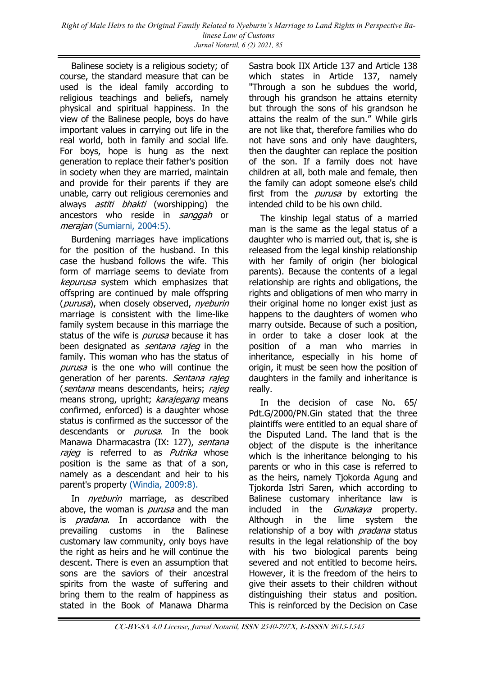Balinese society is a religious society; of course, the standard measure that can be used is the ideal family according to religious teachings and beliefs, namely physical and spiritual happiness. In the view of the Balinese people, boys do have important values in carrying out life in the real world, both in family and social life. For boys, hope is hung as the next generation to replace their father's position in society when they are married, maintain and provide for their parents if they are unable, carry out religious ceremonies and always *astiti bhakti* (worshipping) the ancestors who reside in sanggah or merajan [\(Sumiarni, 2004:5\).](#page-9-0)

Burdening marriages have implications for the position of the husband. In this case the husband follows the wife. This form of marriage seems to deviate from kepurusa system which emphasizes that offspring are continued by male offspring (*purusa*), when closely observed, *nyeburin* marriage is consistent with the lime-like family system because in this marriage the status of the wife is *purusa* because it has been designated as *sentana rajeg* in the family. This woman who has the status of purusa is the one who will continue the generation of her parents. Sentana rajeg (sentana means descendants, heirs; rajeg means strong, upright; karajegang means confirmed, enforced) is a daughter whose status is confirmed as the successor of the descendants or *purusa*. In the book Manawa Dharmacastra (IX: 127), sentana rajeg is referred to as Putrika whose position is the same as that of a son, namely as a descendant and heir to his parent's property [\(Windia, 2009:8\).](#page-9-0)

In *nyeburin* marriage, as described above, the woman is *purusa* and the man is *pradana*. In accordance with the prevailing customs in the Balinese customary law community, only boys have the right as heirs and he will continue the descent. There is even an assumption that sons are the saviors of their ancestral spirits from the waste of suffering and bring them to the realm of happiness as stated in the Book of Manawa Dharma

Sastra book IIX Article 137 and Article 138 which states in Article 137, namely "Through a son he subdues the world, through his grandson he attains eternity but through the sons of his grandson he attains the realm of the sun." While girls are not like that, therefore families who do not have sons and only have daughters, then the daughter can replace the position of the son. If a family does not have children at all, both male and female, then the family can adopt someone else's child first from the *purusa* by extorting the intended child to be his own child.

The kinship legal status of a married man is the same as the legal status of a daughter who is married out, that is, she is released from the legal kinship relationship with her family of origin (her biological parents). Because the contents of a legal relationship are rights and obligations, the rights and obligations of men who marry in their original home no longer exist just as happens to the daughters of women who marry outside. Because of such a position, in order to take a closer look at the position of a man who marries in inheritance, especially in his home of origin, it must be seen how the position of daughters in the family and inheritance is really.

In the decision of case No. 65/ Pdt.G/2000/PN.Gin stated that the three plaintiffs were entitled to an equal share of the Disputed Land. The land that is the object of the dispute is the inheritance which is the inheritance belonging to his parents or who in this case is referred to as the heirs, namely Tjokorda Agung and Tjokorda Istri Saren, which according to Balinese customary inheritance law is included in the *Gunakava* property. Although in the lime system the relationship of a boy with *pradana* status results in the legal relationship of the boy with his two biological parents being severed and not entitled to become heirs. However, it is the freedom of the heirs to give their assets to their children without distinguishing their status and position. This is reinforced by the Decision on Case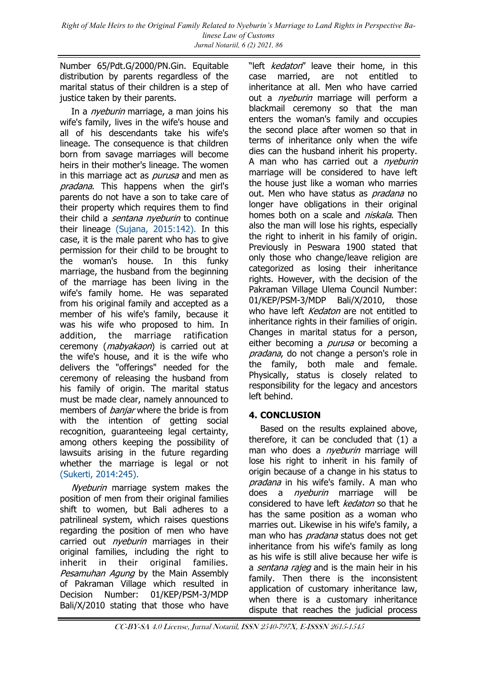Number 65/Pdt.G/2000/PN.Gin. Equitable distribution by parents regardless of the marital status of their children is a step of justice taken by their parents.

In a *nyeburin* marriage, a man joins his wife's family, lives in the wife's house and all of his descendants take his wife's lineage. The consequence is that children born from savage marriages will become heirs in their mother's lineage. The women in this marriage act as *purusa* and men as pradana. This happens when the girl's parents do not have a son to take care of their property which requires them to find their child a *sentana nyeburin* to continue their lineage [\(Sujana, 2015:142\).](#page-9-0) In this case, it is the male parent who has to give permission for their child to be brought to the woman's house. In this funky marriage, the husband from the beginning of the marriage has been living in the wife's family home. He was separated from his original family and accepted as a member of his wife's family, because it was his wife who proposed to him. In addition, the marriage ratification ceremony (*mabyakaon*) is carried out at the wife's house, and it is the wife who delivers the "offerings" needed for the ceremony of releasing the husband from his family of origin. The marital status must be made clear, namely announced to members of *banjar* where the bride is from with the intention of getting social recognition, guaranteeing legal certainty, among others keeping the possibility of lawsuits arising in the future regarding whether the marriage is legal or not [\(Sukerti, 2014:245\).](#page-9-0)

Nyeburin marriage system makes the position of men from their original families shift to women, but Bali adheres to a patrilineal system, which raises questions regarding the position of men who have carried out *nyeburin* marriages in their original families, including the right to inherit in their original families. Pesamuhan Agung by the Main Assembly of Pakraman Village which resulted in Decision Number: 01/KEP/PSM-3/MDP Bali/X/2010 stating that those who have

"left *kedaton*" leave their home, in this case married, are not entitled to inheritance at all. Men who have carried out a *nyeburin* marriage will perform a blackmail ceremony so that the man enters the woman's family and occupies the second place after women so that in terms of inheritance only when the wife dies can the husband inherit his property. A man who has carried out a *nyeburin* marriage will be considered to have left the house just like a woman who marries out. Men who have status as *pradana* no longer have obligations in their original homes both on a scale and *niskala*. Then also the man will lose his rights, especially the right to inherit in his family of origin. Previously in Peswara 1900 stated that only those who change/leave religion are categorized as losing their inheritance rights. However, with the decision of the Pakraman Village Ulema Council Number: 01/KEP/PSM-3/MDP Bali/X/2010, those who have left *Kedaton* are not entitled to inheritance rights in their families of origin. Changes in marital status for a person, either becoming a *purusa* or becoming a pradana, do not change a person's role in the family, both male and female. Physically, status is closely related to responsibility for the legacy and ancestors left behind.

### **4. CONCLUSION**

Based on the results explained above, therefore, it can be concluded that (1) a man who does a *nyeburin* marriage will lose his right to inherit in his family of origin because of a change in his status to pradana in his wife's family. A man who does a *nyeburin* marriage will be considered to have left kedaton so that he has the same position as a woman who marries out. Likewise in his wife's family, a man who has *pradana* status does not get inheritance from his wife's family as long as his wife is still alive because her wife is a *sentana rajeg* and is the main heir in his family. Then there is the inconsistent application of customary inheritance law, when there is a customary inheritance dispute that reaches the judicial process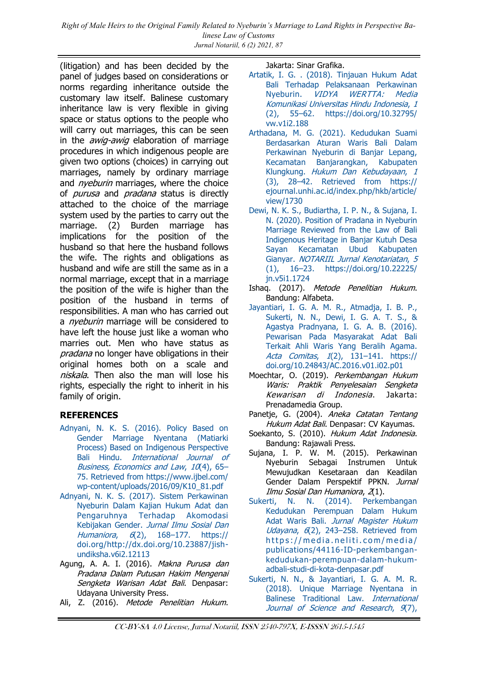<span id="page-9-0"></span>*Right of Male Heirs to the Original Family Related to Nyeburin's Marriage to Land Rights in Perspective Balinese Law of Customs Jurnal Notariil, 6 (2) 2021, 87*

(litigation) and has been decided by the panel of judges based on considerations or norms regarding inheritance outside the customary law itself. Balinese customary inheritance law is very flexible in giving space or status options to the people who will carry out marriages, this can be seen in the *awig-awig* elaboration of marriage procedures in which indigenous people are given two options (choices) in carrying out marriages, namely by ordinary marriage and *nyeburin* marriages, where the choice of *purusa* and *pradana* status is directly attached to the choice of the marriage system used by the parties to carry out the marriage. (2) Burden marriage has implications for the position of the husband so that here the husband follows the wife. The rights and obligations as husband and wife are still the same as in a normal marriage, except that in a marriage the position of the wife is higher than the position of the husband in terms of responsibilities. A man who has carried out a *nveburin* marriage will be considered to have left the house just like a woman who marries out. Men who have status as *pradana* no longer have obligations in their original homes both on a scale and niskala. Then also the man will lose his rights, especially the right to inherit in his family of origin.

#### **REFERENCES**

- [Adnyani, N. K. S. \(2016\). Policy Based on](https://www.ijbel.com/wp-content/uploads/2016/09/K10_81.pdf)  [Gender Marriage Nyentana \(Matiarki](https://www.ijbel.com/wp-content/uploads/2016/09/K10_81.pdf)  [Process\) Based on Indigenous Perspective](https://www.ijbel.com/wp-content/uploads/2016/09/K10_81.pdf)  Bali Hindu. International Journal of [Business, Economics and Law](https://www.ijbel.com/wp-content/uploads/2016/09/K10_81.pdf),  $10(4)$ , 65-[75. Retrieved from https://www.ijbel.com/](https://www.ijbel.com/wp-content/uploads/2016/09/K10_81.pdf) [wp-content/uploads/2016/09/K10\\_81.pdf](https://www.ijbel.com/wp-content/uploads/2016/09/K10_81.pdf)
- [Adnyani, N. K. S. \(2017\). Sistem Perkawinan](https://doi.org/http:/dx.doi.org/10.23887/jish-undiksha.v6i2.12113)  [Nyeburin Dalam Kajian Hukum Adat dan](https://doi.org/http:/dx.doi.org/10.23887/jish-undiksha.v6i2.12113)  [Pengaruhnya Terhadap Akomodasi](https://doi.org/http:/dx.doi.org/10.23887/jish-undiksha.v6i2.12113)  [Kebijakan Gender.](https://doi.org/http:/dx.doi.org/10.23887/jish-undiksha.v6i2.12113) Jurnal Ilmu Sosial Dan Humaniora, 6(2), 168–[177. https://](https://doi.org/http:/dx.doi.org/10.23887/jish-undiksha.v6i2.12113) [doi.org/http://dx.doi.org/10.23887/jish](https://doi.org/http:/dx.doi.org/10.23887/jish-undiksha.v6i2.12113)[undiksha.v6i2.12113](https://doi.org/http:/dx.doi.org/10.23887/jish-undiksha.v6i2.12113)
- Agung, A. A. I. (2016). Makna Purusa dan Pradana Dalam Putusan Hakim Mengenai Sengketa Warisan Adat Bali. Denpasar: Udayana University Press.
- Ali, Z. (2016). Metode Penelitian Hukum.

Jakarta: Sinar Grafika.

- [Artatik, I. G. . \(2018\). Tinjauan Hukum Adat](https://doi.org/10.32795/vw.v1i2.188)  [Bali Terhadap Pelaksanaan Perkawinan](https://doi.org/10.32795/vw.v1i2.188)  Nyeburin. [VIDYA WERTTA: Media](https://doi.org/10.32795/vw.v1i2.188)  [Komunikasi Universitas Hindu Indonesia](https://doi.org/10.32795/vw.v1i2.188), 1 (2), 55–[62. https://doi.org/10.32795/](https://doi.org/10.32795/vw.v1i2.188) [vw.v1i2.188](https://doi.org/10.32795/vw.v1i2.188)
- [Arthadana, M. G. \(2021\). Kedudukan Suami](https://ejournal.unhi.ac.id/index.php/hkb/article/view/1730)  [Berdasarkan Aturan Waris Bali Dalam](https://ejournal.unhi.ac.id/index.php/hkb/article/view/1730)  [Perkawinan Nyeburin di Banjar Lepang,](https://ejournal.unhi.ac.id/index.php/hkb/article/view/1730)  [Kecamatan Banjarangkan, Kabupaten](https://ejournal.unhi.ac.id/index.php/hkb/article/view/1730)  Klungkung. [Hukum Dan Kebudayaan](https://ejournal.unhi.ac.id/index.php/hkb/article/view/1730), 1  $(3)$ ,  $28-42$ . Retrieved from https:// [ejournal.unhi.ac.id/index.php/hkb/article/](https://ejournal.unhi.ac.id/index.php/hkb/article/view/1730) [view/1730](https://ejournal.unhi.ac.id/index.php/hkb/article/view/1730)
- [Dewi, N. K. S., Budiartha, I. P. N., & Sujana, I.](https://doi.org/10.22225/jn.v5i1.1724)  [N. \(2020\). Position of Pradana in Nyeburin](https://doi.org/10.22225/jn.v5i1.1724)  [Marriage Reviewed from the Law of Bali](https://doi.org/10.22225/jn.v5i1.1724)  [Indigenous Heritage in Banjar Kutuh Desa](https://doi.org/10.22225/jn.v5i1.1724)  [Sayan Kecamatan Ubud Kabupaten](https://doi.org/10.22225/jn.v5i1.1724)  Gianyar. [NOTARIIL Jurnal Kenotariatan](https://doi.org/10.22225/jn.v5i1.1724), 5 (1), 16–[23. https://doi.org/10.22225/](https://doi.org/10.22225/jn.v5i1.1724) [jn.v5i1.1724](https://doi.org/10.22225/jn.v5i1.1724)
- Ishaq. (2017). Metode Penelitian Hukum. Bandung: Alfabeta.
- [Jayantiari, I. G. A. M. R., Atmadja, I. B. P.,](https://doi.org/10.24843/AC.2016.v01.i02.p01)  [Sukerti, N. N., Dewi, I. G. A. T. S., &](https://doi.org/10.24843/AC.2016.v01.i02.p01)  [Agastya Pradnyana, I. G. A. B. \(2016\).](https://doi.org/10.24843/AC.2016.v01.i02.p01)  [Pewarisan Pada Masyarakat Adat Bali](https://doi.org/10.24843/AC.2016.v01.i02.p01)  [Terkait Ahli Waris Yang Beralih Agama.](https://doi.org/10.24843/AC.2016.v01.i02.p01)  Acta Comitas, 1(2), 131–[141. https://](https://doi.org/10.24843/AC.2016.v01.i02.p01) [doi.org/10.24843/AC.2016.v01.i02.p01](https://doi.org/10.24843/AC.2016.v01.i02.p01)
- Moechtar, O. (2019). Perkembangan Hukum Waris: Praktik Penyelesaian Sengketa Kewarisan di Indonesia. Jakarta: Prenadamedia Group.
- Panetje, G. (2004). Aneka Catatan Tentang Hukum Adat Bali. Denpasar: CV Kayumas.
- Soekanto, S. (2010). Hukum Adat Indonesia. Bandung: Rajawali Press.
- Sujana, I. P. W. M. (2015). Perkawinan Nyeburin Sebagai Instrumen Untuk Mewujudkan Kesetaraan dan Keadilan Gender Dalam Perspektif PPKN. Jurnal Ilmu Sosial Dan Humaniora, 2(1).
- [Sukerti, N. N. \(2014\). Perkembangan](https://media.neliti.com/media/publications/44116-ID-perkembangan-kedudukan-perempuan-dalam-hukum-adbali-studi-di-kota-denpasar.pdf)  [Kedudukan Perempuan Dalam Hukum](https://media.neliti.com/media/publications/44116-ID-perkembangan-kedudukan-perempuan-dalam-hukum-adbali-studi-di-kota-denpasar.pdf)  Adat Waris Bali. Jurnal Magister Hukum Udayana, 6(2), 243-258. Retrieved from https://media.neliti.com/media/ [publications/44116-ID-perkembangan](https://media.neliti.com/media/publications/44116-ID-perkembangan-kedudukan-perempuan-dalam-hukum-adbali-studi-di-kota-denpasar.pdf)[kedudukan-perempuan-dalam-hukum](https://media.neliti.com/media/publications/44116-ID-perkembangan-kedudukan-perempuan-dalam-hukum-adbali-studi-di-kota-denpasar.pdf)[adbali-studi-di-kota-denpasar.pdf](https://media.neliti.com/media/publications/44116-ID-perkembangan-kedudukan-perempuan-dalam-hukum-adbali-studi-di-kota-denpasar.pdf)
- [Sukerti, N. N., & Jayantiari, I. G. A. M. R.](https://doi.org/10.21275/SR20704100230)  [\(2018\). Unique Marriage Nyentana in](https://doi.org/10.21275/SR20704100230)  [Balinese Traditional Law.](https://doi.org/10.21275/SR20704100230) International [Journal of Science and Research](https://doi.org/10.21275/SR20704100230), 9(7),

CC-BY-SA 4.0 License, Jurnal Notariil, ISSN 2540-797X, E-ISSSN 2615-1545